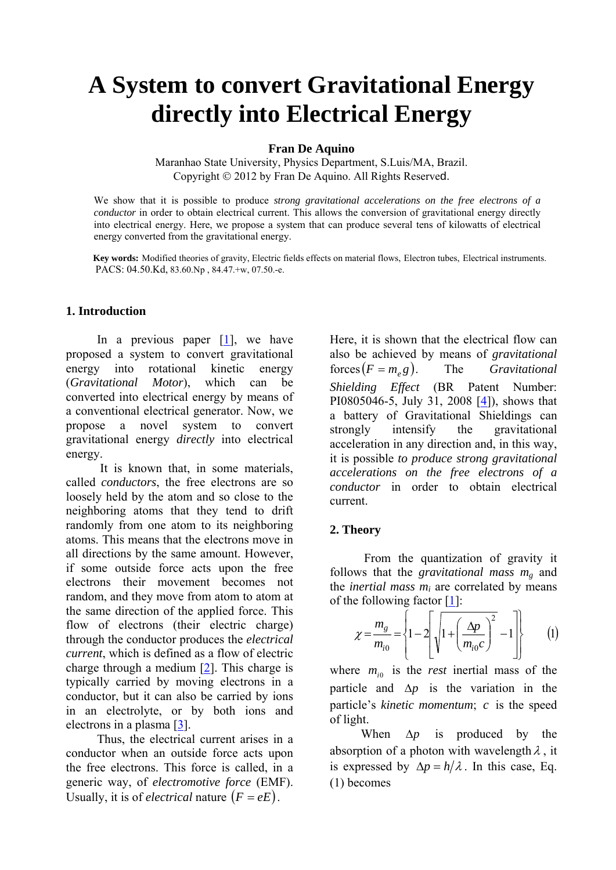# **A System to convert Gravitational Energy directly into Electrical Energy**

**Fran De Aquino** 

Maranhao State University, Physics Department, S.Luis/MA, Brazil. Copyright © 2012 by Fran De Aquino. All Rights Reserved.

We show that it is possible to produce *strong gravitational accelerations on the free electrons of a conductor* in order to obtain electrical current. This allows the conversion of gravitational energy directly into electrical energy. Here, we propose a system that can produce several tens of kilowatts of electrical energy converted from the gravitational energy.

 **Key words:** Modified theories of gravity, Electric fields effects on material flows, Electron tubes, Electrical instruments. PACS: 04.50.Kd, 83.60.Np , 84.47.+w, 07.50.-e.

### **1. Introduction**

In a previous paper  $[1]$  $[1]$ , we have proposed a system to convert gravitational energy into rotational kinetic energy (*Gravitational Motor*), which can be converted into electrical energy by means of a conventional electrical generator. Now, we propose a novel system to convert gravitational energy *directly* into electrical energy.

 It is known that, in some materials, called *conductors*, the free electrons are so loosely held by the atom and so close to the neighboring atoms that they tend to drift randomly from one atom to its neighboring atoms. This means that the electrons move in all directions by the same amount. However, if some outside force acts upon the free electrons their movement becomes not random, and they move from atom to atom at the same direction of the applied force. This flow of electrons (their electric charge) through the conductor produces the *electrical current*, which is defined as a flow of electric charge through a medium  $[2]$  $[2]$ . This charge is typically carried by moving electrons in a conductor, but it can also be carried by ions in an electrolyte, or by both ions and electrons in a plasma [[3\]](#page-13-0).

 Thus, the electrical current arises in a conductor when an outside force acts upon the free electrons. This force is called, in a generic way, of *electromotive force* (EMF). Usually, it is of *electrical* nature  $(F = eE)$ .

Here, it is shown that the electrical flow can also be achieved by means of *gravitational*   $f$ orces $(F = m_e g)$ . The *Gravitational Shielding Effect* (BR Patent Number: PI0805046-5, July 31, 2008 [[4\]](#page-13-0)), shows that a battery of Gravitational Shieldings can strongly intensify the gravitational acceleration in any direction and, in this way, it is possible *to produce strong gravitational accelerations on the free electrons of a conductor* in order to obtain electrical current.

### **2. Theory**

 From the quantization of gravity it follows that the *gravitational mass mg* and the *inertial mass mi* are correlated by means of the following factor [\[1](#page-13-0)]:

$$
\chi = \frac{m_g}{m_{i0}} = \left\{ 1 - 2 \left[ \sqrt{1 + \left( \frac{\Delta p}{m_{i0}c} \right)^2} - 1 \right] \right\} \qquad (1)
$$

where  $m_{i0}$  is the *rest* inertial mass of the particle and  $\Delta p$  is the variation in the particle's *kinetic momentum*; c is the speed of light.

 When Δ*p* is produced by the absorption of a photon with wavelength  $\lambda$ , it is expressed by  $\Delta p = h/\lambda$ . In this case, Eq. (1) becomes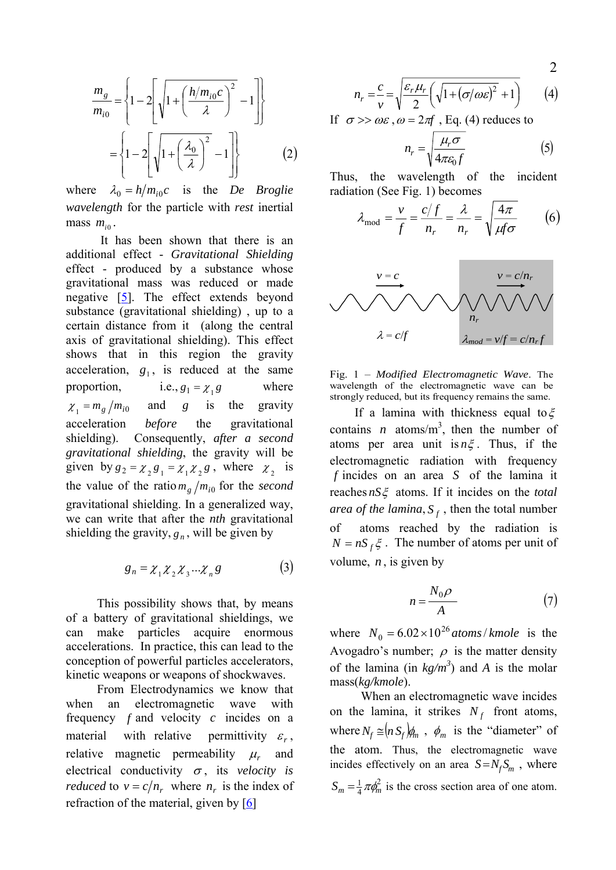$$
\frac{m_g}{m_{i0}} = \left\{ 1 - 2 \left[ \sqrt{1 + \left( \frac{h/m_{i0}c}{\lambda} \right)^2} - 1 \right] \right\}
$$

$$
= \left\{ 1 - 2 \left[ \sqrt{1 + \left( \frac{\lambda_0}{\lambda} \right)^2} - 1 \right] \right\} \tag{2}
$$

where  $\lambda_0 = h/m_{i0}c$  is the *De Broglie wavelength* for the particle with *rest* inertial mass  $m_{i_0}$ .

 It has been shown that there is an additional effect - *Gravitational Shielding* effect - produced by a substance whose gravitational mass was reduced or made negative [\[5](#page-13-0)]. The effect extends beyond substance (gravitational shielding) , up to a certain distance from it (along the central axis of gravitational shielding). This effect shows that in this region the gravity acceleration,  $g_1$ , is reduced at the same proportion, i.e.,  $g_1 = \chi_1 g$  where  $\chi_1 = m_g / m_{i0}$  and g is the gravity acceleration *before* the gravitational shielding). Consequently, *after a second gravitational shielding*, the gravity will be given by  $g_2 = \chi_2 g_1 = \chi_1 \chi_2 g$ , where  $\chi_2$  is the value of the ratio  $m_g/m_{i0}$  for the *second* gravitational shielding. In a generalized way, we can write that after the *nth* gravitational shielding the gravity,  $g_n$ , will be given by

$$
g_n = \chi_1 \chi_2 \chi_3 \dots \chi_n g \tag{3}
$$

 This possibility shows that, by means of a battery of gravitational shieldings, we can make particles acquire enormous accelerations. In practice, this can lead to the conception of powerful particles accelerators, kinetic weapons or weapons of shockwaves.

 From Electrodynamics we know that when an electromagnetic wave with frequency  $f$  and velocity  $c$  incides on a material with relative permittivity  $\varepsilon_r$ , relative magnetic permeability <sup>μ</sup>*r* and electrical conductivity  $\sigma$ , its *velocity is reduced* to  $v = c/n_r$ , where  $n_r$  is the index of refraction of the material, given by  $[6]$  $[6]$  $[6]$ 

$$
n_r = \frac{c}{v} = \sqrt{\frac{\varepsilon_r \mu_r}{2} \left( \sqrt{1 + (\sigma/\omega \varepsilon)^2} + 1 \right)} \tag{4}
$$

If  $\sigma \gg \omega \varepsilon$ ,  $\omega = 2\pi f$ , Eq. (4) reduces to

$$
n_r = \sqrt{\frac{\mu_r \sigma}{4\pi \varepsilon_0 f}}
$$
 (5)

Thus, the wavelength of the incident radiation (See Fig. 1) becomes

$$
\lambda_{\text{mod}} = \frac{v}{f} = \frac{c/f}{n_r} = \frac{\lambda}{n_r} = \sqrt{\frac{4\pi}{\mu f \sigma}} \qquad (6)
$$





If a lamina with thickness equal to  $\xi$ contains *n* atoms/ $m<sup>3</sup>$ , then the number of atoms per area unit is *n*ξ . Thus, if the electromagnetic radiation with frequency  $f$  incides on an area  $S$  of the lamina it reaches *nS*ξ atoms. If it incides on the *total area of the lamina*,  $S_f$ , then the total number of atoms reached by the radiation is  $N = nS_f \xi$ . The number of atoms per unit of volume,  $n$ , is given by

$$
n = \frac{N_0 \rho}{A} \tag{7}
$$

where  $N_0 = 6.02 \times 10^{26}$  *atoms*/*kmole* is the Avogadro's number;  $\rho$  is the matter density of the lamina (in  $kg/m<sup>3</sup>$ ) and *A* is the molar mass(*kg/kmole*).

 When an electromagnetic wave incides on the lamina, it strikes  $N_f$  front atoms, where  $N_f \cong (n S_f) \phi_m$ ,  $\phi_m$  is the "diameter" of the atom. Thus, the electromagnetic wave incides effectively on an area  $S = N_f S_m$ , where 2  $S_m = \frac{1}{4} \pi \phi_m^2$  is the cross section area of one atom.

2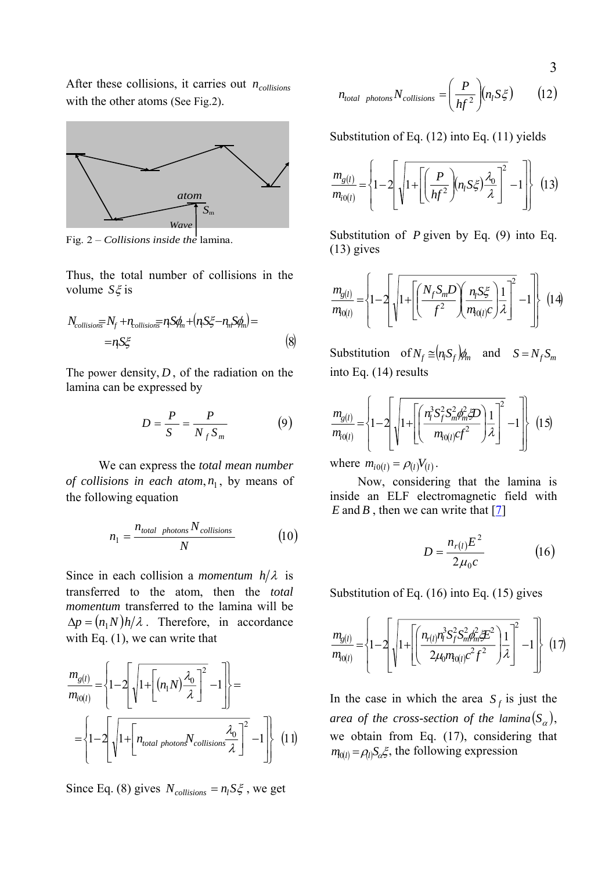After these collisions, it carries out  $n_{collisions}$ with the other atoms (See Fig.2).



Fig. 2 – *Collisions inside the* lamina.

Thus, the total number of collisions in the volume *S*ξ is

$$
N_{collisions} = N_f + n_{collisions} = n_f S \phi_m + (n_f S \xi - n_m S \phi_m) =
$$
  
=  $n_f S \xi$  (8)

The power density,  $D$ , of the radiation on the lamina can be expressed by

$$
D = \frac{P}{S} = \frac{P}{N_f S_m} \tag{9}
$$

 We can express the *total mean number of collisions in each atom,*  $n_1$ *, by means of* the following equation

$$
n_1 = \frac{n_{total\ photons} N_{collisions}}{N}
$$
 (10)

Since in each collision a *momentum*  $h/\lambda$  is transferred to the atom, then the *total momentum* transferred to the lamina will be  $\Delta p = (n_1 N) h / \lambda$ . Therefore, in accordance with Eq.  $(1)$ , we can write that

$$
\frac{m_{g(l)}}{m_{i0(l)}} = \left\{ 1 - 2 \left[ \sqrt{1 + \left[ (n_1 N) \frac{\lambda_0}{\lambda} \right]^2} - 1 \right] \right\} =
$$
\n
$$
= \left\{ 1 - 2 \left[ \sqrt{1 + \left[ n_{total\ photons} N_{collisions} \frac{\lambda_0}{\lambda} \right]^2} - 1 \right] \right\} (11)
$$

Since Eq. (8) gives  $N_{collisions} = n_l S \xi$ , we get

$$
n_{total\ photons} N_{collisions} = \left(\frac{P}{hf^2}\right) (n_l S \xi) \tag{12}
$$

Substitution of Eq. (12) into Eq. (11) yields

$$
\frac{m_{g(l)}}{m_{i0(l)}} = \left\{ 1 - 2 \left[ \sqrt{1 + \left[ \left( \frac{P}{hf^2} \right) (n_l S \xi) \frac{\lambda_0}{\lambda} \right]^2 - 1} \right] \right\}
$$
(13)

Substitution of *P* given by Eq. (9) into Eq. (13) gives

$$
\frac{m_{g(l)}}{m_{f0(l)}} = \left\{1 - 2\left[\sqrt{1 + \left[\left(\frac{N_f S_m D}{f^2}\right)\left(\frac{n_l S_{\zeta}^2}{m_{f0(l)}C}\right) \frac{1}{\lambda}\right]^2} - 1\right]\right\}
$$
(14)

Substitution of  $N_f \cong (n_i S_f) \phi_m$  and  $S = N_f S_m$ into Eq. (14) results

$$
\frac{m_{g(l)}}{m_{i0(l)}} = \left\{ 1 - 2 \left[ \sqrt{1 + \left[ \left( \frac{n_l^3 S_f^2 S_m^2 \phi_m^2 \mathcal{D}}{m_{i0(l)} cf^2} \right) \frac{1}{\lambda} \right]^2} - 1 \right] \right\} (15)
$$

where  $m_{i0(l)} = \rho_{(l)} V_{(l)}$ .

 Now, considering that the lamina is inside an ELF electromagnetic field with *E* and *B*, then we can write that  $\boxed{7}$ 

$$
D = \frac{n_{r(l)}E^2}{2\mu_0 c}
$$
 (16)

Substitution of Eq. (16) into Eq. (15) gives

$$
\frac{m_{g(l)}}{m_{i0(l)}} = \left\{1 - 2\left[\sqrt{1 + \left[\left(\frac{n_{r(l)}n_l^3 S_f^2 S_m^2 \phi_m^2 \mathcal{F}^2}{2\mu_0 m_{i0(l)}c^2 f^2}\right)\frac{1}{\lambda}\right]^2} - 1\right]\right\}
$$
(17)

In the case in which the area  $S_f$  is just the *area of the cross-section of the lamina* $(S_\alpha)$ , we obtain from Eq. (17), considering that  $m_{0(l)} = \rho_l S_{\alpha} \xi$ , the following expression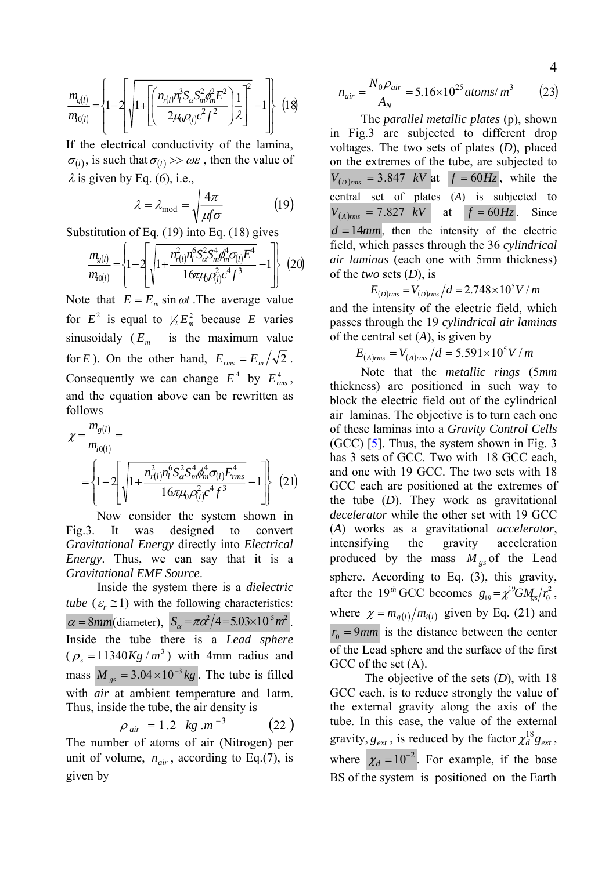$$
\frac{m_{g(l)}}{m_{l0(l)}} = \left\{ 1 - 2 \left[ \sqrt{1 + \left[ \left( \frac{n_{r(l)} n_l^3 S_\alpha S_m^2 \phi_m^2 E^2}{2 \mu_0 \rho_{(l)} c^2 f^2} \right) \frac{1}{\lambda} \right]^2} - 1 \right] \right\}
$$
(18)

If the electrical conductivity of the lamina,  $\sigma_{(l)}$ , is such that  $\sigma_{(l)} >> \omega \varepsilon$ , then the value of  $\lambda$  is given by Eq. (6), i.e.,

$$
\lambda = \lambda_{\text{mod}} = \sqrt{\frac{4\pi}{\mu f \sigma}} \tag{19}
$$

Substitution of Eq. (19) into Eq. (18) gives

$$
\frac{m_{g(l)}}{m_{i0(l)}} = \left\{1 - 2\left[\sqrt{1 + \frac{n_{r(l)}^2 n_l^6 S_{\alpha}^2 S_m^4 \phi_m^4 \sigma_{(l)} E^4}{16\pi \mu_0 \rho_{(l)}^2 c^4 f^3}} - 1\right]\right\}
$$
(20)

Note that  $E = E_m \sin \omega t$ . The average value for  $E^2$  is equal to  $\frac{1}{2} E_m^2$  because *E* varies sinusoidaly  $(E_m$  is the maximum value for *E*). On the other hand,  $E_{rms} = E_m / \sqrt{2}$ . Consequently we can change  $E^4$  by  $E_{rms}^4$ , and the equation above can be rewritten as follows

$$
\chi = \frac{m_{g(l)}}{m_{i0(l)}} = \left\{ 1 - 2 \left[ \sqrt{1 + \frac{n_{r(l)}^2 n_l^6 S_\alpha^2 S_m^4 \phi_m^4 \sigma_{(l)} E_{rms}^4}{16 \pi \mu_0 \rho_{(l)}^2 c^4 f^3}} - 1 \right] \right\} (21)
$$

 Now consider the system shown in Fig.3. It was designed to convert *Gravitational Energy* directly into *Electrical Energy*. Thus, we can say that it is a *Gravitational EMF Source*.

 Inside the system there is a *dielectric tube*  $(\varepsilon, \leq 1)$  with the following characteristics:  $\alpha = 8mm$ (diameter),  $S_{\alpha} = \pi \alpha^2/4 = 5.03 \times 10^{-5} m^2$ . Inside the tube there is a *Lead sphere*  $(\rho_s = 11340 Kg/m^3)$  with 4mm radius and mass  $M_{gs} = 3.04 \times 10^{-3} kg$ . The tube is filled with *air* at ambient temperature and 1atm. Thus, inside the tube, the air density is

$$
\rho_{\text{air}} = 1.2 \text{ kg.m}^{-3} \qquad (22)
$$

The number of atoms of air (Nitrogen) per unit of volume,  $n_{air}$ , according to Eq.(7), is given by

$$
n_{air} = \frac{N_0 \rho_{air}}{A_N} = 5.16 \times 10^{25} \text{ atoms/m}^3 \tag{23}
$$

 The *parallel metallic plates* (p), shown in Fig.3 are subjected to different drop voltages. The two sets of plates (*D*), placed on the extremes of the tube, are subjected to  $V_{(D)_{rms}} = 3.847$  kV at  $f = 60Hz$ , while the central set of plates (*A*) is subjected to  $V_{(A)_{rms}} = 7.827$  kV at  $f = 60$  *Hz*. Since  $d=14$ *mm*, then the intensity of the electric field, which passes through the 36 *cylindrical air laminas* (each one with 5mm thickness) of the *two* sets (*D*), is

$$
E_{(D)rms} = V_{(D)rms}/d = 2.748 \times 10^5 V/m
$$

and the intensity of the electric field, which passes through the 19 *cylindrical air laminas* of the central set (*A*), is given by

$$
E_{(A)rms} = V_{(A)rms}/d = 5.591 \times 10^5 V/m
$$

 Note that the *metallic rings* (5*mm* thickness) are positioned in such way to block the electric field out of the cylindrical air laminas. The objective is to turn each one of these laminas into a *Gravity Control Cells* (GCC) [\[5](#page-13-0)]. Thus, the system shown in Fig. 3 has 3 sets of GCC. Two with 18 GCC each, and one with 19 GCC. The two sets with 18 GCC each are positioned at the extremes of the tube (*D*). They work as gravitational *decelerator* while the other set with 19 GCC (*A*) works as a gravitational *accelerator*, intensifying the gravity acceleration produced by the mass  $M_{gs}$  of the Lead sphere. According to Eq. (3), this gravity, after the 19<sup>th</sup> GCC becomes  $g_{19} = \chi^{19} G M_{\text{gs}} / r_0^2$  $g_{19} = \chi^{19} G M_{gs} / r_0^2$ , where  $\chi = m_{g(l)} / m_{i(l)}$  given by Eq. (21) and  $r_0 = 9$ *mm* is the distance between the center of the Lead sphere and the surface of the first GCC of the set  $(A)$ .

 The objective of the sets (*D*), with 18 GCC each, is to reduce strongly the value of the external gravity along the axis of the tube. In this case, the value of the external gravity,  $g_{ext}$ , is reduced by the factor  $\chi_d^{18} g_{ext}$ , where  $\chi_d = 10^{-2}$ . For example, if the base BS of the system is positioned on the Earth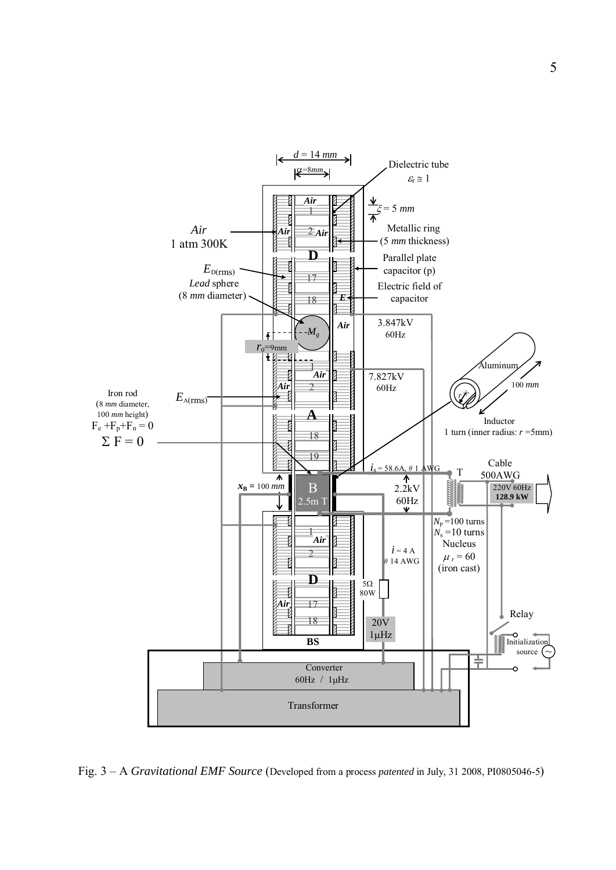

Fig. 3 – A *Gravitational EMF Source* (Developed from a process *patented* in July, 31 2008, PI0805046-5)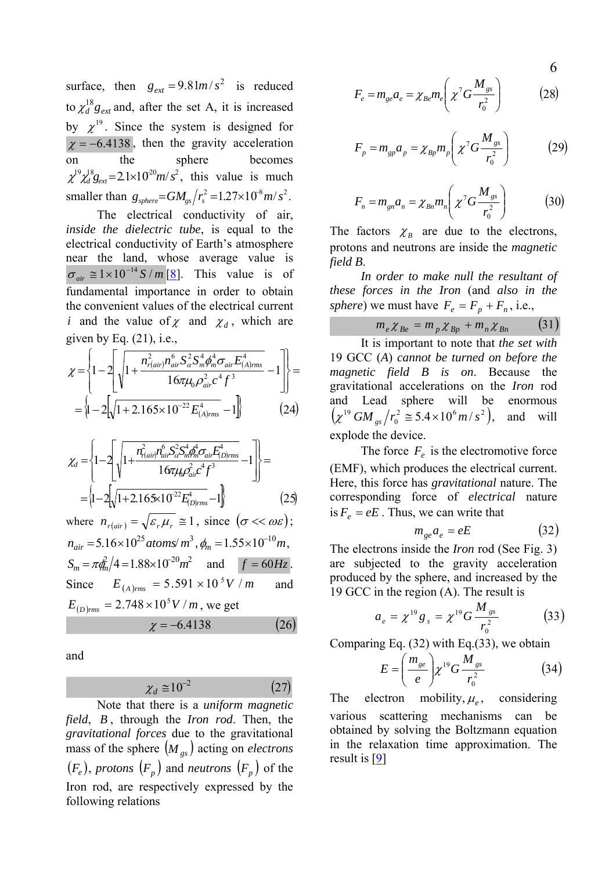surface, then  $g_{ext} = 9.81m/s^2$  is reduced to  $\chi_d^{18} g_{ext}$  and, after the set A, it is increased by  $\chi^{19}$ . Since the system is designed for  $\chi = -6.4138$ , then the gravity acceleration on the sphere becomes  $\chi^{19} \chi_d^{18} g_{\text{ext}} = 2.1 \times 10^{20} m/s^2$ , this value is much smaller than  $g_{sphere} = GM_{gs}/r_s^2 = 1.27 \times 10^8 m/s^2$ .

 The electrical conductivity of air, *inside the dielectric tube*, is equal to the electrical conductivity of Earth's atmosphere near the land, whose average value is  $\sigma_{air} \approx 1 \times 10^{-14} S/m$  [<u>8</u>]. This value is of fundamental importance in order to obtain the convenient values of the electrical current *i* and the value of  $\chi$  and  $\chi_d$ , which are given by Eq. (21), i.e.,

$$
\chi = \left\{ 1 - 2 \left[ \sqrt{1 + \frac{n_{r(air)}^2 n_{air}^6 S_{\alpha}^2 S_m^4 \phi_m^4 \sigma_{air} E_{(A)rms}^4}{16 \pi \mu_0 \rho_{air}^2 c^4 f^3}} - 1 \right] \right\} = \left\{ 1 - 2 \left[ \sqrt{1 + 2.165 \times 10^{-22} E_{(A)rms}^4} - 1 \right] \right\} \tag{24}
$$

$$
\chi_{d} = \left\{ 1 - 2 \left[ \sqrt{1 + \frac{n_{\text{r}(ai)}^{2} n_{ai}^{6} S_{\text{cr}}^{2} S_{\text{m}}^{4} \phi_{ai}^{4} \sigma_{ai} F_{\text{D} \mid \text{rms}}^{4}} - 1 \right] \right\} =
$$

$$
= \left\{ 1 - 2 \left[ \sqrt{1 + 2.165 \times 10^{-22} E_{\text{D} \mid \text{rms}}^{4}} - 1 \right] \right\} \tag{25}
$$

where  $n_{r(air)} = \sqrt{\varepsilon_r \mu_r} \approx 1$ , since  $(\sigma \ll \omega \varepsilon)$ ;  $n_{air} = 5.16 \times 10^{25}$  atoms/m<sup>3</sup>,  $\phi_m = 1.55 \times 10^{-10}$ m,  $S_m = \pi \frac{\partial^2}{\partial t^2} = 1.88 \times 10^{-20} m^2$  and  $f = 60 Hz$ . Since  $E_{(A)_{rms}} = 5.591 \times 10^5 V/m$  and  $E_{(D)rms} = 2.748 \times 10^5 V/m$ , we get  $\chi = -6.4138$  (26)

and

$$
\chi_d \cong 10^{-2} \tag{27}
$$

 Note that there is a *uniform magnetic field*, *B* , through the *Iron rod*. Then, the *gravitational forces* due to the gravitational mass of the sphere  $(M_{gs})$  acting on *electrons*  $(F_e)$ , protons  $(F_p)$  and *neutrons*  $(F_p)$  of the Iron rod, are respectively expressed by the following relations

$$
F_e = m_{ge} a_e = \chi_{Be} m_e \left( \chi^7 G \frac{M_{gs}}{r_0^2} \right) \tag{28}
$$

$$
F_p = m_{gp} a_p = \chi_{Bp} m_p \left( \chi^7 G \frac{M_{gs}}{r_0^2} \right)
$$
 (29)

$$
F_n = m_{gn} a_n = \chi_{Bn} m_n \left( \chi^7 G \frac{M_{gs}}{r_0^2} \right) \tag{30}
$$

The factors  $\chi_B$  are due to the electrons, protons and neutrons are inside the *magnetic field B*.

 *In order to make null the resultant of these forces in the Iron* (and *also in the sphere*) we must have  $F_e = F_p + F_n$ , i.e.,

$$
m_e \chi_{Be} = m_p \chi_{Bp} + m_n \chi_{Bn} \qquad (31)
$$

 It is important to note that *the set with* 19 GCC (*A*) *cannot be turned on before the magnetic field B is on*. Because the gravitational accelerations on the *Iron* rod and Lead sphere will be enormous  $(\chi^{19} G M_{gs}/r_0^2 \approx 5.4 \times 10^6 m/s^2)$ , and will explode the device.

The force  $F_e$  is the electromotive force (EMF), which produces the electrical current. Here, this force has *gravitational* nature. The corresponding force of *electrical* nature is  $F_e = eE$ . Thus, we can write that

$$
m_{ge}a_e = eE \tag{32}
$$

The electrons inside the *Iron* rod (See Fig. 3) are subjected to the gravity acceleration produced by the sphere, and increased by the 19 GCC in the region (A). The result is

$$
a_e = \chi^{19} g_s = \chi^{19} G \frac{M_{gs}}{r_0^2} \tag{33}
$$

Comparing Eq. (32) with Eq.(33), we obtain

$$
E = \left(\frac{m_{ge}}{e}\right) \chi^{19} G \frac{M_{gs}}{r_0^2} \tag{34}
$$

The electron mobility,  $\mu_e$ , considering various scattering mechanisms can be obtained by solving the Boltzmann equation in the relaxation time approximation. The

6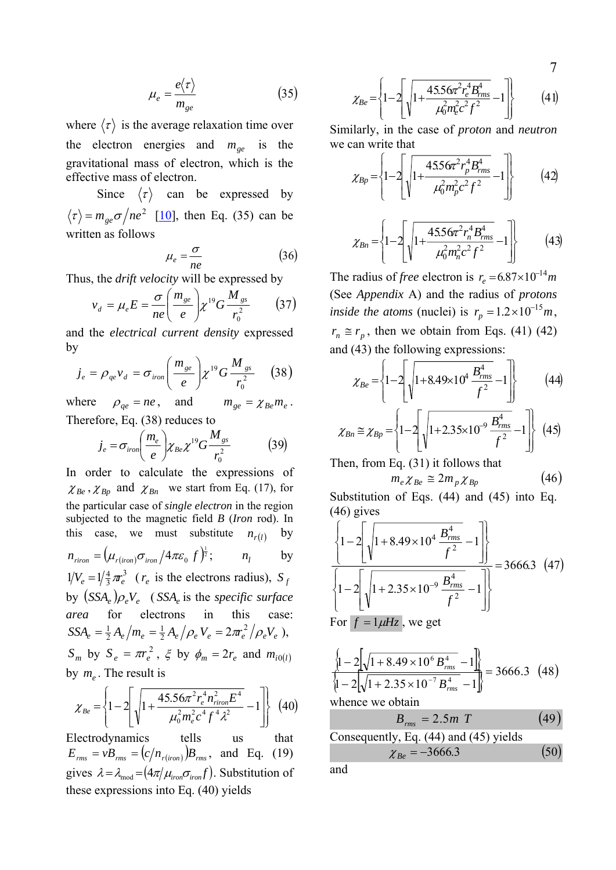$$
\mu_e = \frac{e\langle \tau \rangle}{m_{ge}} \tag{35}
$$

where  $\langle \tau \rangle$  is the average relaxation time over the electron energies and  $m_{ge}$  is the gravitational mass of electron, which is the effective mass of electron.

Since  $\langle \tau \rangle$  can be expressed by  $\langle \tau \rangle = m_{ee} \sigma / ne^2$  [[10\]](#page-13-0), then Eq. (35) can be written as follows

$$
\mu_e = \frac{\sigma}{ne} \tag{36}
$$

Thus, the *drift velocity* will be expressed by

$$
v_d = \mu_e E = \frac{\sigma}{ne} \left(\frac{m_{ge}}{e}\right) \chi^{19} G \frac{M_{gs}}{r_0^2} \tag{37}
$$

and the *electrical current density* expressed by

$$
j_e = \rho_{qe} v_d = \sigma_{iron} \left(\frac{m_{ge}}{e}\right) \chi^{19} G \frac{M_{gs}}{r_0^2} \qquad (38)
$$

where  $\rho_{qe} = ne$ , and  $m_{ge} = \chi_{Be} m_e$ . Therefore, Eq. (38) reduces to

$$
j_e = \sigma_{iron} \left(\frac{m_e}{e}\right) \chi_{Be} \chi^{19} G \frac{M_{gs}}{r_0^2} \tag{39}
$$

In order to calculate the expressions of  $\chi_{Be}$ ,  $\chi_{Bp}$  and  $\chi_{Bn}$  we start from Eq. (17), for the particular case of *single electron* in the region subjected to the magnetic field *B* (*Iron* rod). In this case, we must substitute  $n_{r(l)}$  by  $n_{riron} = (\mu_{r(iron)} \sigma_{iron} / 4 \pi \varepsilon_0 f)^{\frac{1}{2}};$  *n*<sub>*l*</sub> by 3  $1/V_e = 1/\frac{4}{3}\pi_e^3$  ( $r_e$  is the electrons radius),  $S_f$ by  $(SSA_e)\rho_eV_e$  (*SSA<sub>e</sub>* is the *specific surface area* for electrons in this case:  $SSA_e=\frac{1}{2}\,A_e\bigl/m_e=\frac{1}{2}\,A_e\bigl/\rho_e\,V_e=2\pi r_e^2\bigl/\rho_e V_e$ 2 1  $=\frac{1}{2}A_e/m_e=\frac{1}{2}A_e/\rho_e V_e=2\pi r_e^2/\rho_e V_e$ ),  $S_m$  by  $S_e = \pi r_e^2$ ,  $\xi$  by  $\phi_m = 2r_e$  and  $m_{i0(l)}$ by  $m_e$ . The result is

$$
\chi_{Be} = \left\{ 1 - 2 \left[ \sqrt{1 + \frac{45.56 \pi^2 r_e^4 n_{riron}^2 E^4}{\mu_0^2 m_e^2 c^4 f^4 \lambda^2}} - 1 \right] \right\}
$$
 (40)

Electrodynamics tells us that  $E_{rms} = vB_{rms} = (c/n_{r(iron)})B_{rms}$ , and Eq. (19) gives  $\lambda = \lambda_{\text{mod}} = (4\pi/\mu_{\text{iron}} \sigma_{\text{iron}} f)$ . Substitution of and these expressions into Eq. (40) yields

$$
\chi_{Be} = \left\{ 1 - 2 \left[ \sqrt{1 + \frac{45.56 \pi^2 r_e^4 B_{rms}^4}{\mu_0^2 m_e^2 c^2 f^2}} - 1 \right] \right\}
$$
(41)

Similarly, in the case of *proton* and *neutron* we can write that

$$
\chi_{Bp} = \left\{ 1 - 2 \left[ \sqrt{1 + \frac{4556 \pi^2 r_p^4 B_{rms}^4}{\mu_0^2 m_p^2 c^2 f^2}} - 1 \right] \right\}
$$
(42)

$$
\chi_{Bn} = \left\{ 1 - 2 \left[ \sqrt{1 + \frac{45.56 \pi^2 r_n^4 B_{rms}^4}{\mu_0^2 m_n^2 c^2 f^2}} - 1 \right] \right\}
$$
(43)

The radius of *free* electron is  $r_e = 6.87 \times 10^{-14} m$ (See *Appendix* A) and the radius of *protons inside the atoms* (nuclei) is  $r_p = 1.2 \times 10^{-15} m$ ,  $r_n \approx r_p$ , then we obtain from Eqs. (41) (42) and (43) the following expressions:

$$
\chi_{Be} = \left\{ 1 - 2 \left[ \sqrt{1 + 8.49 \times 10^4 \frac{B_{rms}^4}{f^2}} - 1 \right] \right\}
$$
 (44)

$$
\chi_{Bn} \approx \chi_{Bp} = \left\{ 1 - 2 \left[ \sqrt{1 + 2.35 \times 10^{-9} \frac{B_{rms}^4}{f^2}} - 1 \right] \right\} (45)
$$

Then, from Eq. (31) it follows that

$$
m_e \chi_{Be} \cong 2m_p \chi_{Bp} \tag{46}
$$

Substitution of Eqs. (44) and (45) into Eq. (46) gives

$$
\frac{\left\{1-2\left[\sqrt{1+8.49\times10^{4}\frac{B_{rms}^{4}}{f^{2}}}-1\right]\right\}}{\left\{1-2\left[\sqrt{1+2.35\times10^{-9}\frac{B_{rms}^{4}}{f^{2}}}-1\right]\right\}}=3666.3\tag{47}
$$
  
For  $f = 1\mu$ , we get

$$
\left\{\frac{1}{1-2}\sqrt{1+8.49\times10^{6}B_{rms}^{4}}-1\right\}
$$
\n
$$
\left\{\frac{1}{1-2}\sqrt{1+2.35\times10^{-7}B_{rms}^{4}}-1\right\} = 3666.3
$$
\n(48)

whence we obtain

$$
B_{\rm rms} = 2.5 \, m \, T \tag{49}
$$

Consequently, Eq. (44) and (45) yields  $\chi_{Be} = -3666.3$  (50)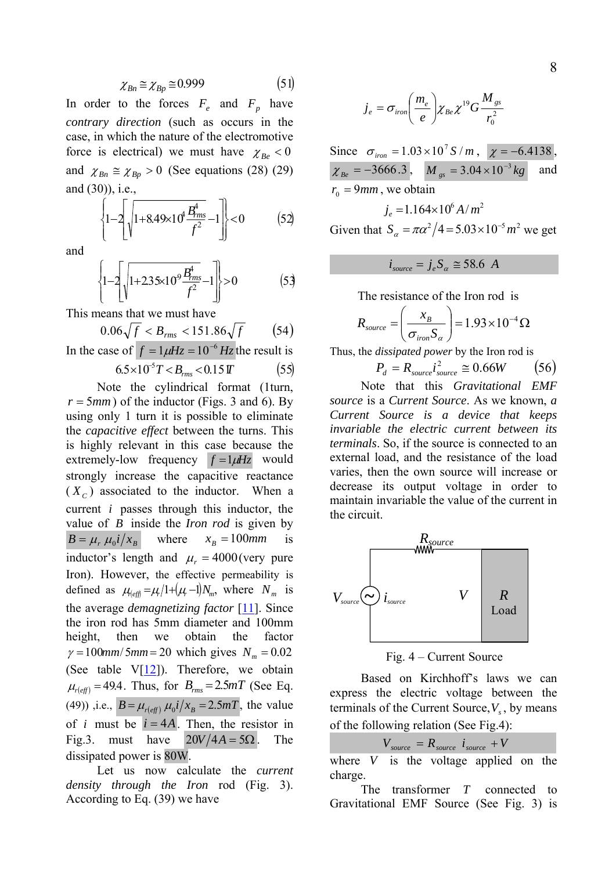$$
\chi_{Bn} \cong \chi_{Bp} \cong 0.999 \tag{51}
$$

In order to the forces  $F_e$  and  $F_p$  have *contrary direction* (such as occurs in the case, in which the nature of the electromotive force is electrical) we must have  $\chi_{Be} < 0$ and  $\chi_{Bn} \cong \chi_{Bp} > 0$  (See equations (28) (29) and (30)), i.e.,

$$
\left\{1-2\left[\sqrt{1+8.49\times10^{4}\frac{B_{rms}^{4}}{f^{2}}}-1\right]\right\}<0\tag{52}
$$

and

$$
\left\{1 - 2\left[\sqrt{1 + 2.35 \times 10^9 \frac{B_{rms}^4}{f^2}} - 1\right]\right\} > 0
$$
 (53)

This means that we must have

$$
0.06\sqrt{f} < B_{rms} < 151.86\sqrt{f} \tag{54}
$$

In the case of  $f = 1 \mu Hz = 10^{-6} Hz$  the result is  $6.5 \times 10^{-5} T < B_{rms} < 0.15 T$  (55)

 Note the cylindrical format (1turn,  $r = 5mm$ ) of the inductor (Figs. 3 and 6). By using only 1 turn it is possible to eliminate the *capacitive effect* between the turns. This is highly relevant in this case because the extremely-low frequency  $f = 1 \mu Hz$  would strongly increase the capacitive reactance  $(X_c)$  associated to the inductor. When a current *i* passes through this inductor, the value of *B* inside the *Iron rod* is given by  $B = \mu_r \mu_0 i / x_B$  where  $x_B = 100$ *mm* is inductor's length and  $\mu_r = 4000$  (very pure Iron). However, the effective permeability is defined as  $\mu_{\text{left}} = \mu / 1 + (\mu - 1) N_m$ , where  $N_m$  is the average *demagnetizing factor* [ [11\]](#page-13-0). Since the iron rod has 5mm diameter and 100mm height, then we obtain the factor  $\gamma = 100$ mm/5mm = 20 which gives  $N_m = 0.02$ (See table  $V[12]$  $V[12]$  $V[12]$ ). Therefore, we obtain  $\mu_{r(\text{eff})} = 49.4$ . Thus, for  $B_{rms} = 2.5 mT$  (See Eq. (49)) ,i.e.,  $B = \mu_{r(\text{eff})} \mu_0 i / x_B = 2.5 mT$ , the value of *i* must be  $i = 4A$ . Then, the resistor in Fig.3. must have  $20V/4A = 5\Omega$ . The dissipated power is 80W.

Let us now calculate the *current density through the Iron* rod (Fig. 3). According to Eq. (39) we have

$$
\dot{J}_e = \sigma_{iron} \left(\frac{m_e}{e}\right) \chi_{Be} \chi^{19} G \frac{M_{gs}}{r_0^2}
$$

Since  $\sigma_{\text{iron}} = 1.03 \times 10^7 S/m$ ,  $\chi = -6.4138$ ,  $\chi_{Be} = -3666.3$ ,  $M_{gs} = 3.04 \times 10^{-3} kg$  and  $r_0 = 9$ *mm*, we obtain  $i = 1.164 \times 10^6 A/m^2$ 

Given that 
$$
S_{\alpha} = \pi \alpha^2 / 4 = 5.03 \times 10^{-5} m^2
$$
 we get

$$
i_{source} = j_e S_a \cong 58.6 A
$$

The resistance of the Iron rod is

$$
R_{source} = \left(\frac{x_B}{\sigma_{iron} S_{\alpha}}\right) = 1.93 \times 10^{-4} \,\Omega
$$

Thus, the *dissipated power* by the Iron rod is

$$
P_d = R_{source} i_{source}^2 \approx 0.66W \qquad (56)
$$

 Note that this *Gravitational EMF source* is a *Current Source*. As we known, *a Current Source is a device that keeps invariable the electric current between its terminals*. So, if the source is connected to an external load, and the resistance of the load varies, then the own source will increase or decrease its output voltage in order to maintain invariable the value of the current in the circuit.



Fig. 4 – Current Source

 Based on Kirchhoff's laws we can express the electric voltage between the terminals of the Current Source,  $V_s$ , by means of the following relation (See Fig.4):

$$
V_{source} = R_{source} i_{source} + V
$$

where  $V$  is the voltage applied on the charge.

The transformer *T* connected to Gravitational EMF Source (See Fig. 3) is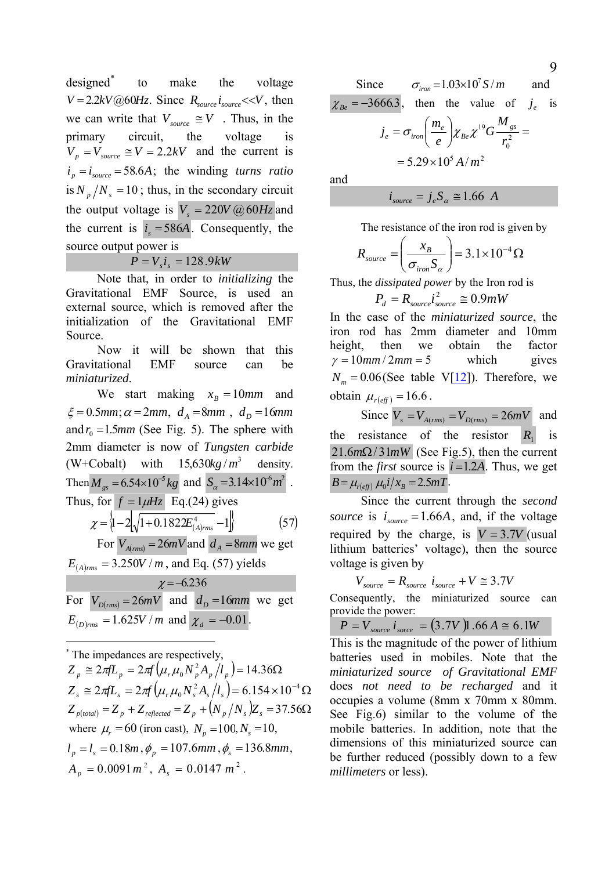designed[\\*](#page-8-0) to make the voltage  $V = 2.2kV@60Hz$ . Since  $R_{source}$  *i<sub>source</sub>* <<*V*, then we can write that  $V_{source} \cong V$ . Thus, in the primary circuit, the voltage is  $V_p = V_{source} \cong V = 2.2 kV$  and the current is  $i_p = i_{source} = 58.6A$ ; the winding *turns ratio* is  $N_p/N_s = 10$ ; thus, in the secondary circuit the output voltage is  $V = 220V \omega/60 Hz$  and the current is  $i_s = 586A$ . Consequently, the source output power is

 $P = V_i i = 128.9 kW$ 

 Note that, in order to *initializing* the Gravitational EMF Source, is used an external source, which is removed after the initialization of the Gravitational EMF Source.

 Now it will be shown that this Gravitational EMF source can be *miniaturized*.

We start making  $x_B = 10mm$  and  $\xi = 0.5$ *mm*;  $\alpha = 2$ *mm*,  $d_A = 8$ *mm*,  $d_D = 16$ *mm* and  $r_0 = 1.5$ *mm* (See Fig. 5). The sphere with 2mm diameter is now of *Tungsten carbide* (W+Cobalt) with  $15,630kg/m^3$  density. Then  $M_{gs} = 6.54 \times 10^{-5} kg$  and  $S_{\alpha} = 3.14 \times 10^{-6} m^2$ . Thus, for  $f = 1 \mu Hz$  Eq.(24) gives

$$
\chi = \left\{1 - 2\sqrt{1 + 0.1822E_{(A)rms}^4} - 1\right\}
$$
 (57)

For  $V_{A(rms)} = 26mV$  and  $d_A = 8mm$  we get  $E_{(A)_{rms}} = 3.250V/m$ , and Eq. (57) yields

 $\chi = -6.236$ For  $V_{D(rms)} = 26mV$  and  $d<sub>D</sub> = 16mm$  we get  $E_{(D)rms} = 1.625V / m$  and  $\chi_d = -0.01$ .

<span id="page-8-0"></span>\* The impedances are respectively,

 $\overline{a}$ 

 $Z_{_{p}}\cong 2\pi \!f\! L_{_{p}}=2\pi \!f\big(\mu_{r}\mu_{0}N_{_{p}}^{2}A_{_{p}}\big/l_{_{p}}\big)\!=\!14.36\Omega$  $Z_{_s} \cong 2\pi f L_{_s} = 2\pi f \big( \mu_{_r} \mu_{_0} N_{_s}^2 A_{_s} / l_{_s} \big) = 6.154 \times 10^{-4} \,\Omega$  $Z_{p(tobal)} = Z_p + Z_{reflected} = Z_p + (N_p / N_s)Z_s = 37.56\Omega$ where  $\mu_r = 60$  (iron cast),  $N_p = 100, N_s = 10$ ,  $l_p = l_s = 0.18m$ ,  $\phi_p = 107.6$ mm,  $\phi_s = 136.8$ mm,  $A_p = 0.0091 m^2$ ,  $A_s = 0.0147 m^2$ .

Since  $\sigma_{\text{ion}} = 1.03 \times 10^7 S/m$  and  $\chi_{Be} = -3666.3$ , then the value of  $j_e$  is  $= 5.29 \times 10^5 A/m^2$ 2 0 19 *r M G e*  $j_e = \sigma_{iron} \bigg(\frac{m_e}{\lambda_{Be}}\bigg) \chi_{Be} \chi^{19} G \frac{M_{gs}}{2}$ *e*  $\sigma_e = \sigma_{iron} \bigg( \frac{m_e}{e} \bigg) \chi_{Be} \chi^{19} G \frac{M_{_{SS}}}{r_0^2} =$ ⎝  $=\sigma _{_{iron}}\left( \frac{m_e}{m_e}\right)_{\chi _{Re}\chi }$ 

and

$$
i_{source} = j_e S_a \cong 1.66 A
$$

The resistance of the iron rod is given by

$$
R_{source} = \left(\frac{x_B}{\sigma_{iron} S_{\alpha}}\right) = 3.1 \times 10^{-4} \,\Omega
$$

Thus, the *dissipated power* by the Iron rod is

$$
P_d = R_{source} i_{source}^2 \cong 0.9 mW
$$

In the case of the *miniaturized source*, the iron rod has 2mm diameter and 10mm height, then we obtain the factor  $\gamma = 10$  mm / 2 mm = 5 which gives  $N_m = 0.06$  (See table V[\[12](#page-13-0)]). Therefore, we obtain  $\mu_{r(\text{eff})} = 16.6$ .

Since  $V_s = V_{A(rms)} = V_{D(rms)} = 26mV$  and the resistance of the resistor  $R_1$  is  $21.6m\Omega/31mW$  (See Fig.5), then the current from the *first* source is  $i=1.2A$ . Thus, we get  $B = \mu_{r(\text{eff})} \mu_0 i / x_B = 2.5 mT$ .

 Since the current through the *second source* is  $i_{source} = 1.66A$ , and, if the voltage required by the charge, is  $V = 3.7V$  (usual lithium batteries' voltage), then the source voltage is given by

$$
V_{source} = R_{source} i_{source} + V \approx 3.7V
$$

Consequently, the miniaturized source can provide the power:

$$
P = V_{source} i_{score} = (3.7V)1.66 A \approx 6.1W
$$

This is the magnitude of the power of lithium batteries used in mobiles. Note that the *miniaturized source of Gravitational EMF*  does *not need to be recharged* and it occupies a volume (8mm x 70mm x 80mm. See Fig.6) similar to the volume of the mobile batteries. In addition, note that the dimensions of this miniaturized source can be further reduced (possibly down to a few *millimeters* or less).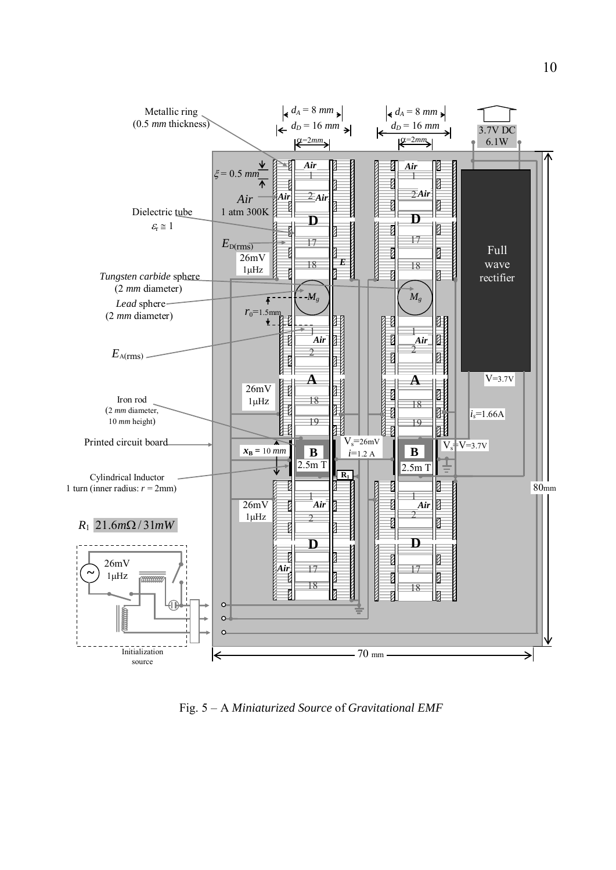

Fig. 5 – A *Miniaturized Source* of *Gravitational EMF*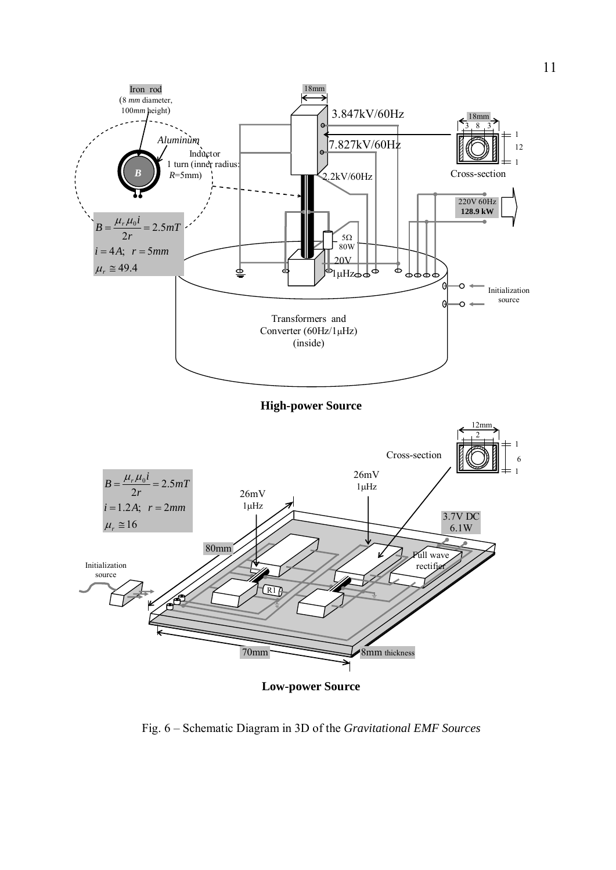

Fig. 6 – Schematic Diagram in 3D of the *Gravitational EMF Sources*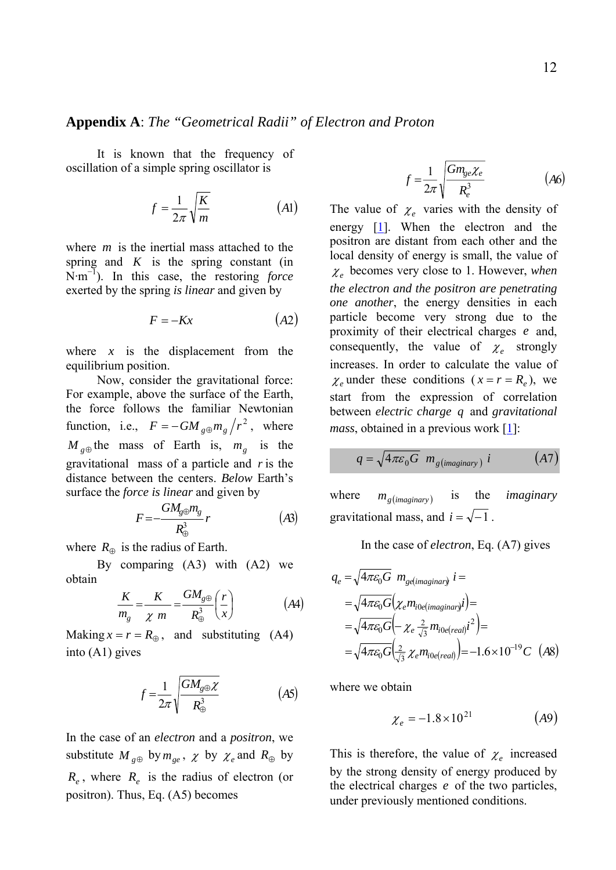### **Appendix A**: *The "Geometrical Radii" of Electron and Proton*

 It is known that the frequency of oscillation of a simple spring oscillator is

$$
f = \frac{1}{2\pi} \sqrt{\frac{K}{m}} \tag{A1}
$$

where  $m$  is the inertial mass attached to the spring and  $K$  is the spring constant (in N·m<sup>−</sup><sup>1</sup> ). In this case, the restoring *force*  exerted by the spring *is linear* and given by

$$
F = -Kx \tag{A2}
$$

where  $x$  is the displacement from the equilibrium position.

 Now, consider the gravitational force: For example, above the surface of the Earth, the force follows the familiar Newtonian function, i.e.,  $F = -GM_{g\oplus}m_{g}/r^{2}$ , where  $M_{g\oplus}$  the mass of Earth is,  $m_g$  is the gravitational mass of a particle and *r* is the distance between the centers. *Below* Earth's surface the *force is linear* and given by

$$
F = -\frac{GM_{\rm g\oplus}m_{\rm g}}{R_{\oplus}^3}r\tag{A3}
$$

where  $R_{\oplus}$  is the radius of Earth.

 By comparing (A3) with (A2) we obtain

$$
\frac{K}{m_g} = \frac{K}{\chi m} = \frac{GM_{g\oplus}}{R_{\oplus}^3} \left(\frac{r}{x}\right) \tag{A4}
$$

Making  $x = r = R_{\oplus}$ , and substituting (A4) into (A1) gives

$$
f = \frac{1}{2\pi} \sqrt{\frac{GM_{g\oplus}\chi}{R_{\oplus}^{3}}}
$$
 (A5)

In the case of an *electron* and a *positron*, we substitute  $M_{g\oplus}$  by  $m_{ge}$ ,  $\chi$  by  $\chi_e$  and  $R_{\oplus}$  by  $R_e$ , where  $R_e$  is the radius of electron (or positron). Thus, Eq. (A5) becomes

$$
f = \frac{1}{2\pi} \sqrt{\frac{Gm_{ge}\chi_e}{R_e^3}}
$$
 (A6)

The value of  $\chi_e$  varies with the density of energy [[1\]](#page-13-0). When the electron and the positron are distant from each other and the local density of energy is small, the value of  $\chi_e$  becomes very close to 1. However, *when the electron and the positron are penetrating one another*, the energy densities in each particle become very strong due to the proximity of their electrical charges *e* and, consequently, the value of  $\chi_e$  strongly increases. In order to calculate the value of  $\chi_e$  under these conditions ( $x = r = R_e$ ), we start from the expression of correlation between *electric charge q* and *gravitational mass*, obtained in a previous work [[1\]](#page-13-0):

$$
q = \sqrt{4\pi\varepsilon_0 G} \ m_{g(maginary)} i \tag{A7}
$$

where  $m_{g(maginary)}$  is the *imaginary* gravitational mass, and  $i = \sqrt{-1}$ .

In the case of *electron*, Eq. (A7) gives

$$
q_e = \sqrt{4\pi\varepsilon_0 G} \ m_{gelimaginary} \ i =
$$
  
=  $\sqrt{4\pi\varepsilon_0 G} (\chi_e m_{i0elimaginary} \ i) =$   
=  $\sqrt{4\pi\varepsilon_0 G} (-\chi_e \frac{2}{\sqrt{3}} m_{i0elreal} \ i^2) =$   
=  $\sqrt{4\pi\varepsilon_0 G} (\frac{2}{\sqrt{3}} \chi_e m_{i0elreal}) = -1.6 \times 10^{-19} C$  (A8)

where we obtain

$$
\chi_e = -1.8 \times 10^{21} \tag{A9}
$$

This is therefore, the value of  $\chi_e$  increased by the strong density of energy produced by the electrical charges  $e$  of the two particles, under previously mentioned conditions.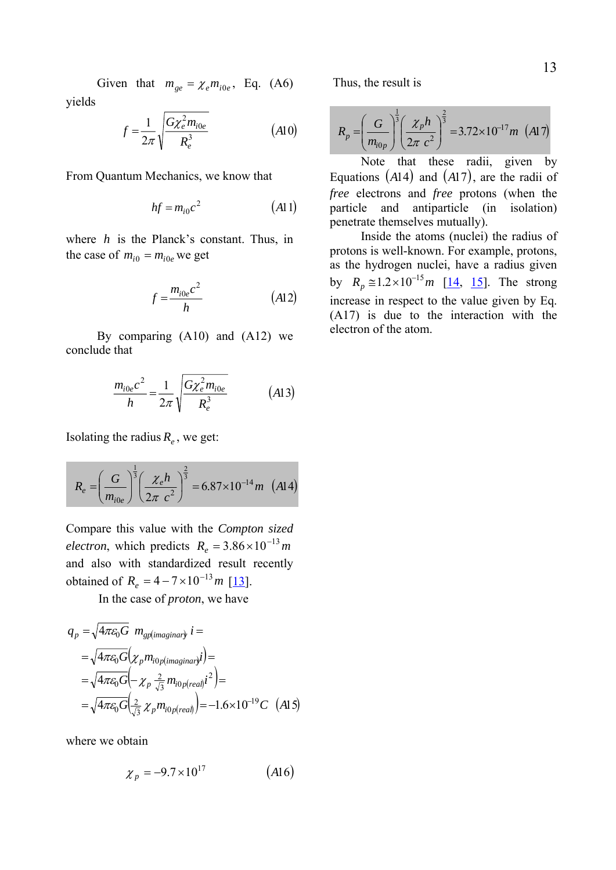Given that  $m_{ee} = \chi_e m_{i0e}$ , Eq. (A6) yields

$$
f = \frac{1}{2\pi} \sqrt{\frac{G\chi_e^2 m_{ioe}}{R_e^3}}
$$
 (A10)

From Quantum Mechanics, we know that

$$
hf = m_{i0}c^2 \tag{A11}
$$

where  $h$  is the Planck's constant. Thus, in the case of  $m_{i0} = m_{i0e}$  we get

$$
f = \frac{m_{i0e}c^2}{h} \tag{A12}
$$

 By comparing (A10) and (A12) we conclude that

$$
\frac{m_{i0e}c^2}{h} = \frac{1}{2\pi} \sqrt{\frac{G\chi_e^2 m_{i0e}}{R_e^3}}
$$
 (A13)

Isolating the radius  $R_e$ , we get:

$$
R_e = \left(\frac{G}{m_{i0e}}\right)^{\frac{1}{3}} \left(\frac{\chi_e h}{2\pi c^2}\right)^{\frac{2}{3}} = 6.87 \times 10^{-14} m \quad (A14)
$$

Compare this value with the *Compton sized electron*, which predicts  $R_e = 3.86 \times 10^{-13}$  *m* and also with standardized result recently obtained of  $R_e = 4 - 7 \times 10^{-13} m$  [[13\]](#page-13-0).

In the case of *proton*, we have

$$
q_p = \sqrt{4\pi\varepsilon_0 G} \ m_{\text{gplimaginary}} i =
$$
  
=  $\sqrt{4\pi\varepsilon_0 G} (\chi_p m_{i0p(\text{imaginary}} i) )$   
=  $\sqrt{4\pi\varepsilon_0 G} (-\chi_p \frac{2}{\sqrt{3}} m_{i0p(\text{real})} i^2 )$   
=  $\sqrt{4\pi\varepsilon_0 G} (\frac{2}{\sqrt{3}} \chi_p m_{i0p(\text{real})})$  = -1.6×10<sup>-19</sup> C (A15)

where we obtain

$$
\chi_p = -9.7 \times 10^{17} \qquad (A16)
$$

Thus, the result is

$$
R_p = \left(\frac{G}{m_{i0p}}\right)^{\frac{1}{3}} \left(\frac{\chi_p h}{2\pi c^2}\right)^{\frac{2}{3}} = 3.72 \times 10^{-17} m \text{ (A17)}
$$

 Note that these radii, given by Equations  $(A14)$  and  $(A17)$ , are the radii of *free* electrons and *free* protons (when the particle and antiparticle (in isolation) penetrate themselves mutually).

 Inside the atoms (nuclei) the radius of protons is well-known. For example, protons, as the hydrogen nuclei, have a radius given by  $R_p \approx 1.2 \times 10^{-15} m$  $R_p \approx 1.2 \times 10^{-15} m$  $R_p \approx 1.2 \times 10^{-15} m$  [[14](#page-13-0), 15]. The strong increase in respect to the value given by Eq. (A17) is due to the interaction with the electron of the atom.